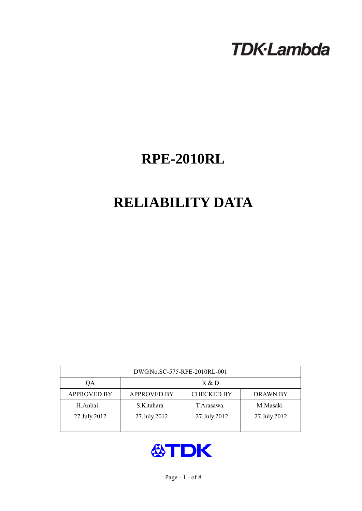# **TDK-Lambda**

## **RPE-2010RL**

## **RELIABILITY DATA**

| DWG.No.SC-575-RPE-2010RL-001 |                                                            |              |              |  |  |  |
|------------------------------|------------------------------------------------------------|--------------|--------------|--|--|--|
| QA                           | R & D                                                      |              |              |  |  |  |
| <b>APPROVED BY</b>           | <b>APPROVED BY</b><br><b>CHECKED BY</b><br><b>DRAWN BY</b> |              |              |  |  |  |
| H.Anbai                      | S.Kitahara                                                 | T. Arasawa.  | M.Masaki     |  |  |  |
| 27.July.2012                 | 27.July.2012                                               | 27.July.2012 | 27.July.2012 |  |  |  |
|                              |                                                            |              |              |  |  |  |

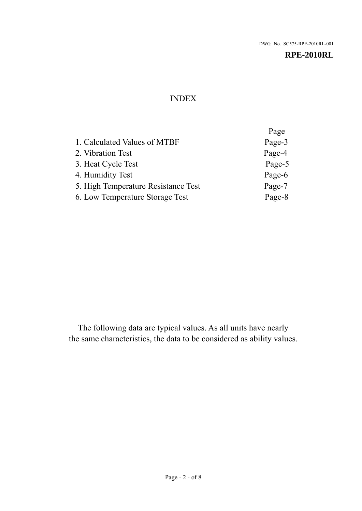## INDEX

|                                     | Page   |
|-------------------------------------|--------|
| 1. Calculated Values of MTBF        | Page-3 |
| 2. Vibration Test                   | Page-4 |
| 3. Heat Cycle Test                  | Page-5 |
| 4. Humidity Test                    | Page-6 |
| 5. High Temperature Resistance Test | Page-7 |
| 6. Low Temperature Storage Test     | Page-8 |

The following data are typical values. As all units have nearly the same characteristics, the data to be considered as ability values.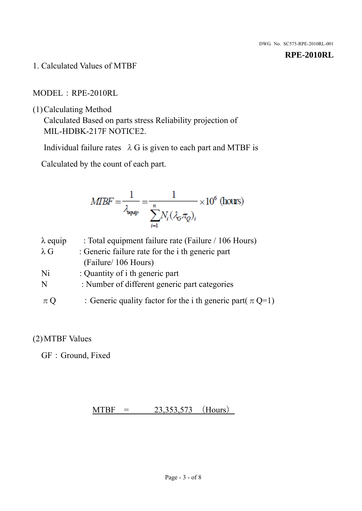1. Calculated Values of MTBF

MODEL:RPE-2010RL

(1)Calculating Method

Calculated Based on parts stress Reliability projection of MIL-HDBK-217F NOTICE2.

Individual failure rates  $\lambda$  G is given to each part and MTBF is

Calculated by the count of each part.

$$
MIBF = \frac{1}{\lambda_{\text{expap}}} = \frac{1}{\sum_{i=1}^{n} N_i (\lambda_{\text{G}} \pi_Q)_i} \times 10^6 \text{ (hours)}
$$

| $\lambda$ equip | : Total equipment failure rate (Failure / 106 Hours)            |
|-----------------|-----------------------------------------------------------------|
| $\lambda$ G     | : Generic failure rate for the <i>i</i> th generic part         |
|                 | (Failure/ 106 Hours)                                            |
| Ni              | : Quantity of i th generic part                                 |
| N               | : Number of different generic part categories                   |
| $\pi Q$         | : Generic quality factor for the i th generic part( $\pi Q=1$ ) |

## (2)MTBF Values

GF: Ground, Fixed

## $MTBF = 23,353,573$  (Hours)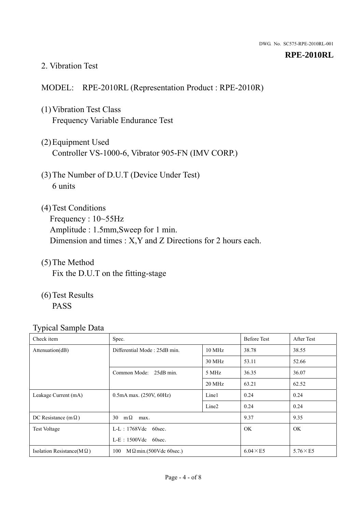#### 2. Vibration Test

## MODEL: RPE-2010RL (Representation Product : RPE-2010R)

- (1)Vibration Test Class Frequency Variable Endurance Test
- (2)Equipment Used Controller VS-1000-6, Vibrator 905-FN (IMV CORP.)
- (3)The Number of D.U.T (Device Under Test) 6 units
- (4) Test Conditions Frequency : 10~55Hz Amplitude : 1.5mm,Sweep for 1 min. Dimension and times : X,Y and Z Directions for 2 hours each.
- (5)The Method Fix the D.U.T on the fitting-stage
- (6)Test Results PASS

| Check item                        | Spec.                                 |                   | <b>Before Test</b> | After Test      |
|-----------------------------------|---------------------------------------|-------------------|--------------------|-----------------|
| Attenuation(dB)                   | Differential Mode: 25dB min.          | 10 MHz            | 38.78              | 38.55           |
|                                   |                                       | 30 MHz            | 53.11              | 52.66           |
|                                   | Common Mode: 25dB min.                | 5 MHz             | 36.35              | 36.07           |
|                                   |                                       | 20 MHz            | 63.21              | 62.52           |
| Leakage Current (mA)              | $0.5mA$ max. $(250V, 60Hz)$           | Line1             | 0.24               | 0.24            |
|                                   |                                       | Line <sub>2</sub> | 0.24               | 0.24            |
| DC Resistance (m $\Omega$ )       | $m\Omega$<br>30<br>max.               |                   | 9.37               | 9.35            |
| <b>Test Voltage</b>               | $L-L$ : 1768Vdc 60sec.                |                   | <b>OK</b>          | <b>OK</b>       |
|                                   | $L-E$ : 1500Vdc 60sec.                |                   |                    |                 |
| Isolation Resistance(M $\Omega$ ) | 100<br>$M \Omega$ min.(500Vdc 60sec.) |                   | $6.04 \times E5$   | $5.76\times E5$ |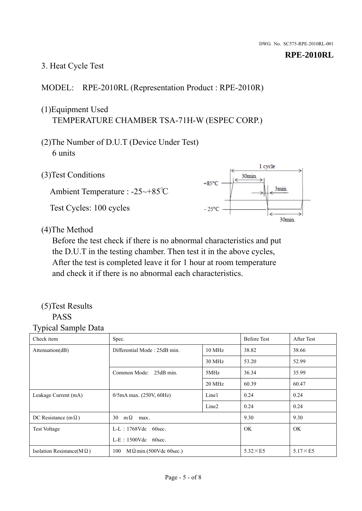## 3. Heat Cycle Test

## MODEL: RPE-2010RL (Representation Product : RPE-2010R)

## (1)Equipment Used TEMPERATURE CHAMBER TSA-71H-W (ESPEC CORP.)

- (2)The Number of D.U.T (Device Under Test) 6 units
- 1 cycle (3)Test Conditions 30<sub>min</sub>  $+85^{\circ}$ C 3min. Ambient Temperature : -25~+85℃ Test Cycles: 100 cycles  $-25^{\circ}$ C 30min.

(4)The Method

Before the test check if there is no abnormal characteristics and put the D.U.T in the testing chamber. Then test it in the above cycles, After the test is completed leave it for 1 hour at room temperature and check it if there is no abnormal each characteristics.

#### (5)Test Results PASS

| Check item                        | Spec.                                  |                   | <b>Before Test</b> | After Test      |
|-----------------------------------|----------------------------------------|-------------------|--------------------|-----------------|
| Attention(dB)                     | Differential Mode: 25dB min.<br>10 MHz |                   | 38.82              | 38.66           |
|                                   |                                        | 30 MHz            | 53.20              | 52.99           |
|                                   | Common Mode: 25dB min.                 | 5MHz              | 36.34              | 35.99           |
|                                   |                                        | 20 MHz            | 60.39              | 60.47           |
| Leakage Current (mA)              | $0/5$ mA max. (250V, 60Hz)             | Line1             | 0.24               | 0.24            |
|                                   |                                        | Line <sub>2</sub> | 0.24               | 0.24            |
| DC Resistance (m $\Omega$ )       | $m\Omega$<br>30<br>max.                |                   | 9.30               | 9.30            |
| <b>Test Voltage</b>               | $L-L$ : 1768Vdc 60sec.                 |                   | OK.                | OK.             |
|                                   | $L-E$ : 1500Vdc 60sec.                 |                   |                    |                 |
| Isolation Resistance(M $\Omega$ ) | 100<br>$M\Omega$ min.(500Vdc 60sec.)   |                   | $5.32\times E5$    | $5.17\times E5$ |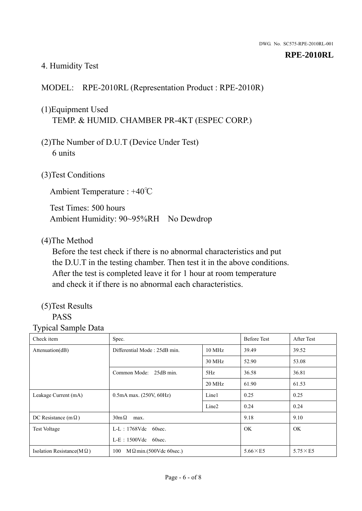## 4. Humidity Test

## MODEL: RPE-2010RL (Representation Product : RPE-2010R)

## (1)Equipment Used TEMP. & HUMID. CHAMBER PR-4KT (ESPEC CORP.)

- (2)The Number of D.U.T (Device Under Test) 6 units
- (3)Test Conditions

Ambient Temperature : +40℃

Test Times: 500 hours Ambient Humidity: 90~95%RH No Dewdrop

#### (4)The Method

Before the test check if there is no abnormal characteristics and put the D.U.T in the testing chamber. Then test it in the above conditions. After the test is completed leave it for 1 hour at room temperature and check it if there is no abnormal each characteristics.

## (5)Test Results

## PASS

| ັ່<br>л.<br>Check item            | Spec.                                  |                   | <b>Before Test</b> | After Test      |
|-----------------------------------|----------------------------------------|-------------------|--------------------|-----------------|
| Attenuation(dB)                   | Differential Mode: 25dB min.<br>10 MHz |                   | 39.49              | 39.52           |
|                                   |                                        | 30 MHz            | 52.90              | 53.08           |
|                                   | Common Mode: 25dB min.                 | 5Hz               | 36.58              | 36.81           |
|                                   |                                        | 20 MHz            | 61.90              | 61.53           |
| Leakage Current (mA)              | $0.5mA$ max. $(250V, 60Hz)$            | Line1             | 0.25               | 0.25            |
|                                   |                                        | Line <sub>2</sub> | 0.24               | 0.24            |
| DC Resistance (m $\Omega$ )       | $30m\Omega$<br>max.                    |                   | 9.18               | 9.10            |
| <b>Test Voltage</b>               | $L-L$ : 1768Vdc 60sec.                 |                   | OK.                | OK.             |
|                                   | $L-E$ : 1500Vdc 60sec.                 |                   |                    |                 |
| Isolation Resistance(M $\Omega$ ) | $M \Omega$ min.(500Vdc 60sec.)<br>100  |                   | $5.66\times E5$    | $5.75\times E5$ |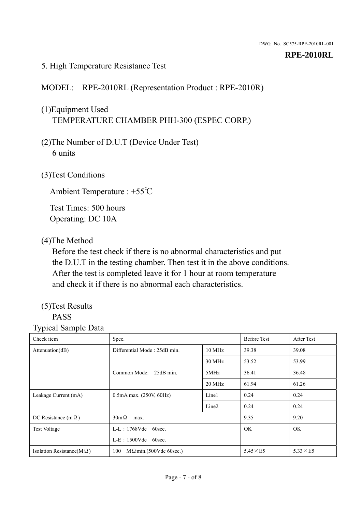### 5. High Temperature Resistance Test

## MODEL: RPE-2010RL (Representation Product : RPE-2010R)

## (1)Equipment Used TEMPERATURE CHAMBER PHH-300 (ESPEC CORP.)

- (2)The Number of D.U.T (Device Under Test) 6 units
- (3)Test Conditions

Ambient Temperature : +55℃

Test Times: 500 hours Operating: DC 10A

#### (4)The Method

Before the test check if there is no abnormal characteristics and put the D.U.T in the testing chamber. Then test it in the above conditions. After the test is completed leave it for 1 hour at room temperature and check it if there is no abnormal each characteristics.

## (5)Test Results

## PASS

| . .<br>Check item                 | Spec.                                  |                   | <b>Before Test</b> | After Test      |
|-----------------------------------|----------------------------------------|-------------------|--------------------|-----------------|
| Attention(dB)                     | Differential Mode: 25dB min.<br>10 MHz |                   | 39.38              | 39.08           |
|                                   |                                        | 30 MHz            | 53.52              | 53.99           |
|                                   | Common Mode: 25dB min.                 | 5MHz              | 36.41              | 36.48           |
|                                   |                                        | 20 MHz            | 61.94              | 61.26           |
| Leakage Current (mA)              | $0.5mA$ max. $(250V, 60Hz)$            | Line1             | 0.24               | 0.24            |
|                                   |                                        | Line <sub>2</sub> | 0.24               | 0.24            |
| DC Resistance (m $\Omega$ )       | $30m\Omega$<br>max.                    |                   | 9.35               | 9.20            |
| <b>Test Voltage</b>               | $L-L$ : 1768Vdc 60sec.                 |                   | <b>OK</b>          | OK.             |
|                                   | $L-E$ : 1500Vdc 60sec.                 |                   |                    |                 |
| Isolation Resistance( $M\Omega$ ) | 100<br>$M \Omega$ min.(500Vdc 60sec.)  |                   | $5.45\times E5$    | $5.33\times E5$ |